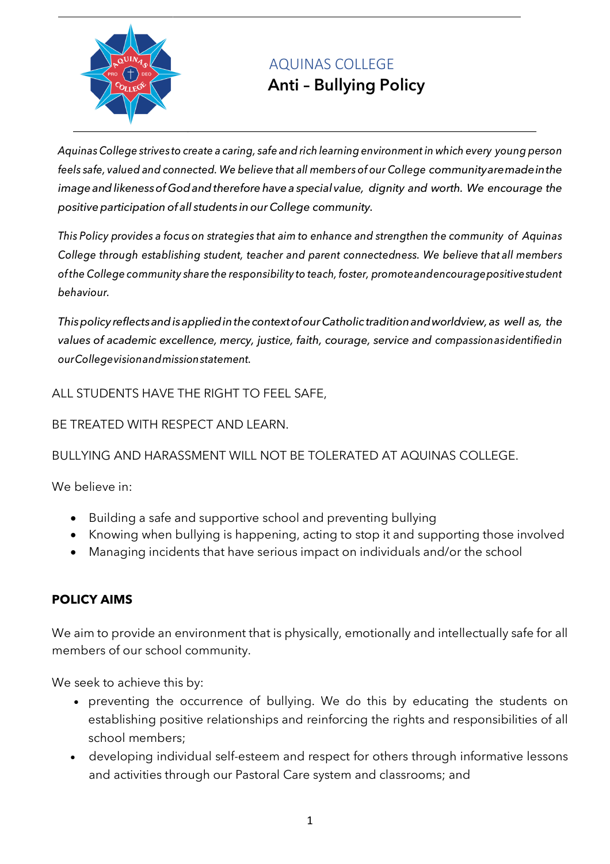

# AQUINAS COLLEGE

## **Anti – Bullying Policy**

*Aquinas College strives to create a caring, safe and rich learning environment in which every young person feels safe, valued and connected. We believe that all members of our College communityaremadeinthe imageandlikenessofGodandtherefore havea special value, dignity and worth. We encourage the positive participation of all students in our College community.* 

*This Policy provides a focus on strategies that aim to enhance and strengthen the community of Aquinas College through establishing student, teacher and parent connectedness. We believe that all members ofthe College community share the responsibility to teach, foster, promoteandencouragepositivestudent behaviour.*

*Thispolicy reflectsandisappliedinthecontextofour Catholic traditionandworldview,as well as, the values of academic excellence, mercy, justice, faith, courage, service and compassionasidentifiedin ourCollegevisionandmissionstatement.*

ALL STUDENTS HAVE THE RIGHT TO FEEL SAFE,

BE TREATED WITH RESPECT AND LEARN.

## BULLYING AND HARASSMENT WILL NOT BE TOLERATED AT AQUINAS COLLEGE.

We believe in:

- Building a safe and supportive school and preventing bullying
- Knowing when bullying is happening, acting to stop it and supporting those involved
- Managing incidents that have serious impact on individuals and/or the school

## **POLICY AIMS**

We aim to provide an environment that is physically, emotionally and intellectually safe for all members of our school community.

We seek to achieve this by:

- preventing the occurrence of bullying. We do this by educating the students on establishing positive relationships and reinforcing the rights and responsibilities of all school members;
- developing individual self-esteem and respect for others through informative lessons and activities through our Pastoral Care system and classrooms; and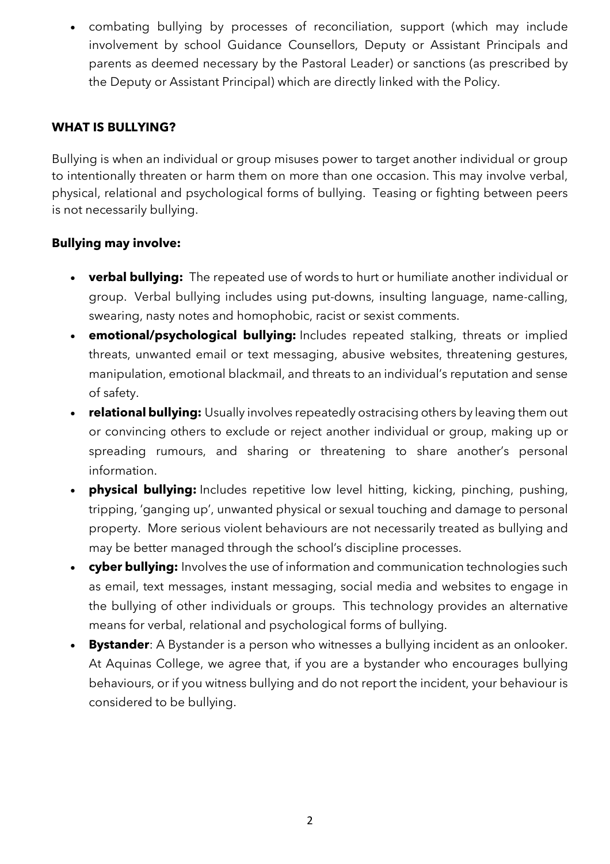• combating bullying by processes of reconciliation, support (which may include involvement by school Guidance Counsellors, Deputy or Assistant Principals and parents as deemed necessary by the Pastoral Leader) or sanctions (as prescribed by the Deputy or Assistant Principal) which are directly linked with the Policy.

#### **WHAT IS BULLYING?**

Bullying is when an individual or group misuses power to target another individual or group to intentionally threaten or harm them on more than one occasion. This may involve verbal, physical, relational and psychological forms of bullying. Teasing or fighting between peers is not necessarily bullying.

#### **Bullying may involve:**

- **verbal bullying:** The repeated use of words to hurt or humiliate another individual or group. Verbal bullying includes using put-downs, insulting language, name-calling, swearing, nasty notes and homophobic, racist or sexist comments.
- **emotional/psychological bullying:** Includes repeated stalking, threats or implied threats, unwanted email or text messaging, abusive websites, threatening gestures, manipulation, emotional blackmail, and threats to an individual's reputation and sense of safety.
- **relational bullying:** Usually involves repeatedly ostracising others by leaving them out or convincing others to exclude or reject another individual or group, making up or spreading rumours, and sharing or threatening to share another's personal information.
- **physical bullying:** Includes repetitive low level hitting, kicking, pinching, pushing, tripping, 'ganging up', unwanted physical or sexual touching and damage to personal property. More serious violent behaviours are not necessarily treated as bullying and may be better managed through the school's discipline processes.
- **cyber bullying:** Involves the use of information and communication technologies such as email, text messages, instant messaging, social media and websites to engage in the bullying of other individuals or groups. This technology provides an alternative means for verbal, relational and psychological forms of bullying.
- **Bystander**: A Bystander is a person who witnesses a bullying incident as an onlooker. At Aquinas College, we agree that, if you are a bystander who encourages bullying behaviours, or if you witness bullying and do not report the incident, your behaviour is considered to be bullying.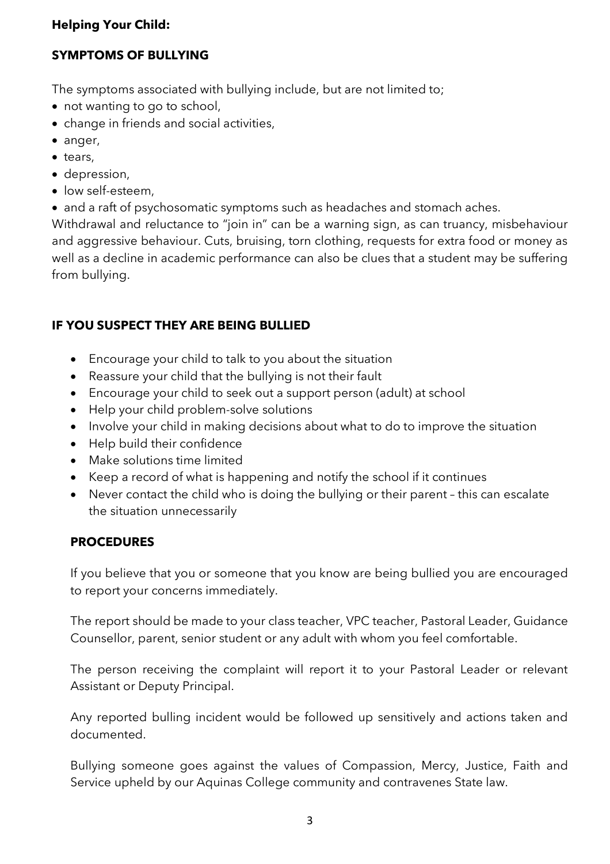#### **Helping Your Child:**

#### **SYMPTOMS OF BULLYING**

The symptoms associated with bullying include, but are not limited to;

- not wanting to go to school,
- change in friends and social activities,
- anger,
- tears,
- depression,
- low self-esteem,
- and a raft of psychosomatic symptoms such as headaches and stomach aches.

Withdrawal and reluctance to "join in" can be a warning sign, as can truancy, misbehaviour and aggressive behaviour. Cuts, bruising, torn clothing, requests for extra food or money as well as a decline in academic performance can also be clues that a student may be suffering from bullying.

### **IF YOU SUSPECT THEY ARE BEING BULLIED**

- Encourage your child to talk to you about the situation
- Reassure your child that the bullying is not their fault
- Encourage your child to seek out a support person (adult) at school
- Help your child problem-solve solutions
- Involve your child in making decisions about what to do to improve the situation
- Help build their confidence
- Make solutions time limited
- Keep a record of what is happening and notify the school if it continues
- Never contact the child who is doing the bullying or their parent this can escalate the situation unnecessarily

#### **PROCEDURES**

If you believe that you or someone that you know are being bullied you are encouraged to report your concerns immediately.

The report should be made to your class teacher, VPC teacher, Pastoral Leader, Guidance Counsellor, parent, senior student or any adult with whom you feel comfortable.

The person receiving the complaint will report it to your Pastoral Leader or relevant Assistant or Deputy Principal.

Any reported bulling incident would be followed up sensitively and actions taken and documented.

Bullying someone goes against the values of Compassion, Mercy, Justice, Faith and Service upheld by our Aquinas College community and contravenes State law.